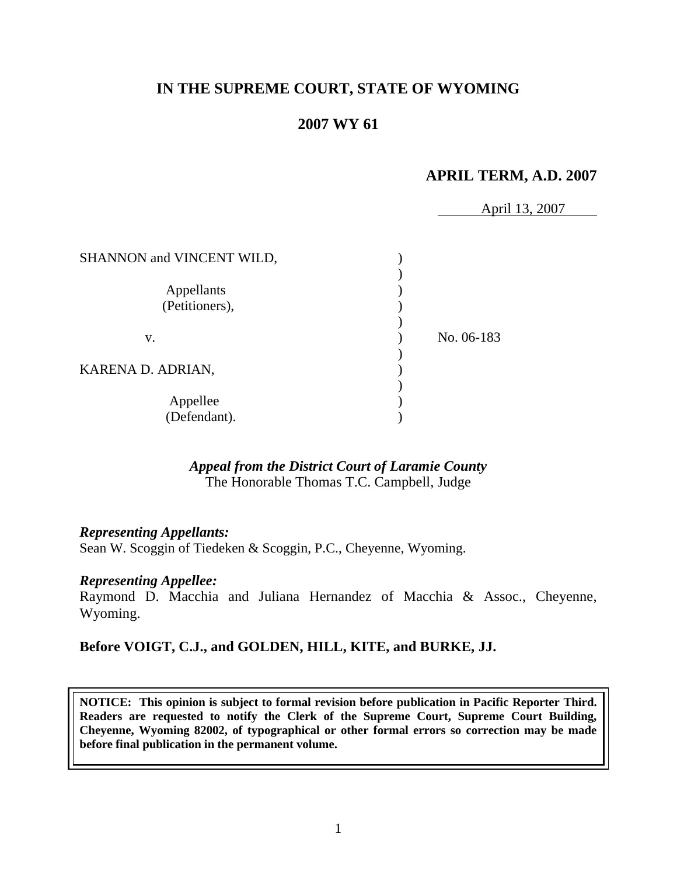# **IN THE SUPREME COURT, STATE OF WYOMING**

# **2007 WY 61**

## **APRIL TERM, A.D. 2007**

April 13, 2007

| SHANNON and VINCENT WILD,    |            |
|------------------------------|------------|
| Appellants<br>(Petitioners), |            |
| v.                           | No. 06-183 |
| KARENA D. ADRIAN,            |            |
| Appellee<br>(Defendant).     |            |

# *Appeal from the District Court of Laramie County*

The Honorable Thomas T.C. Campbell, Judge

#### *Representing Appellants:*

Sean W. Scoggin of Tiedeken & Scoggin, P.C., Cheyenne, Wyoming.

### *Representing Appellee:*

Raymond D. Macchia and Juliana Hernandez of Macchia & Assoc., Cheyenne, Wyoming.

### **Before VOIGT, C.J., and GOLDEN, HILL, KITE, and BURKE, JJ.**

**NOTICE: This opinion is subject to formal revision before publication in Pacific Reporter Third. Readers are requested to notify the Clerk of the Supreme Court, Supreme Court Building, Cheyenne, Wyoming 82002, of typographical or other formal errors so correction may be made before final publication in the permanent volume.**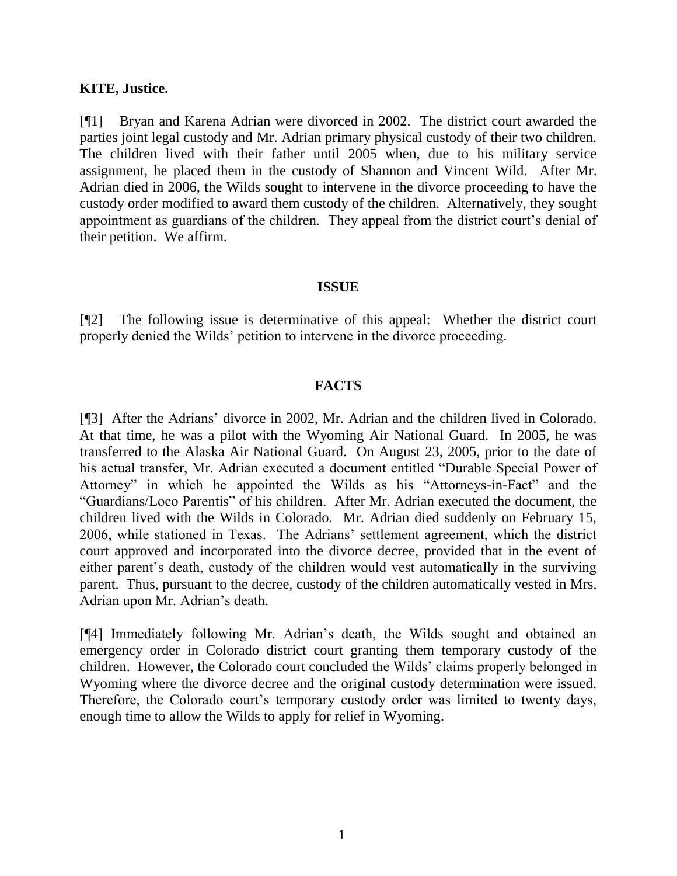### **KITE, Justice.**

[¶1] Bryan and Karena Adrian were divorced in 2002. The district court awarded the parties joint legal custody and Mr. Adrian primary physical custody of their two children. The children lived with their father until 2005 when, due to his military service assignment, he placed them in the custody of Shannon and Vincent Wild. After Mr. Adrian died in 2006, the Wilds sought to intervene in the divorce proceeding to have the custody order modified to award them custody of the children. Alternatively, they sought appointment as guardians of the children. They appeal from the district court's denial of their petition. We affirm.

#### **ISSUE**

[¶2] The following issue is determinative of this appeal: Whether the district court properly denied the Wilds' petition to intervene in the divorce proceeding.

## **FACTS**

[¶3] After the Adrians' divorce in 2002, Mr. Adrian and the children lived in Colorado. At that time, he was a pilot with the Wyoming Air National Guard. In 2005, he was transferred to the Alaska Air National Guard. On August 23, 2005, prior to the date of his actual transfer, Mr. Adrian executed a document entitled "Durable Special Power of Attorney" in which he appointed the Wilds as his "Attorneys-in-Fact" and the "Guardians/Loco Parentis" of his children. After Mr. Adrian executed the document, the children lived with the Wilds in Colorado. Mr. Adrian died suddenly on February 15, 2006, while stationed in Texas. The Adrians' settlement agreement, which the district court approved and incorporated into the divorce decree, provided that in the event of either parent's death, custody of the children would vest automatically in the surviving parent. Thus, pursuant to the decree, custody of the children automatically vested in Mrs. Adrian upon Mr. Adrian's death.

[¶4] Immediately following Mr. Adrian's death, the Wilds sought and obtained an emergency order in Colorado district court granting them temporary custody of the children. However, the Colorado court concluded the Wilds' claims properly belonged in Wyoming where the divorce decree and the original custody determination were issued. Therefore, the Colorado court's temporary custody order was limited to twenty days, enough time to allow the Wilds to apply for relief in Wyoming.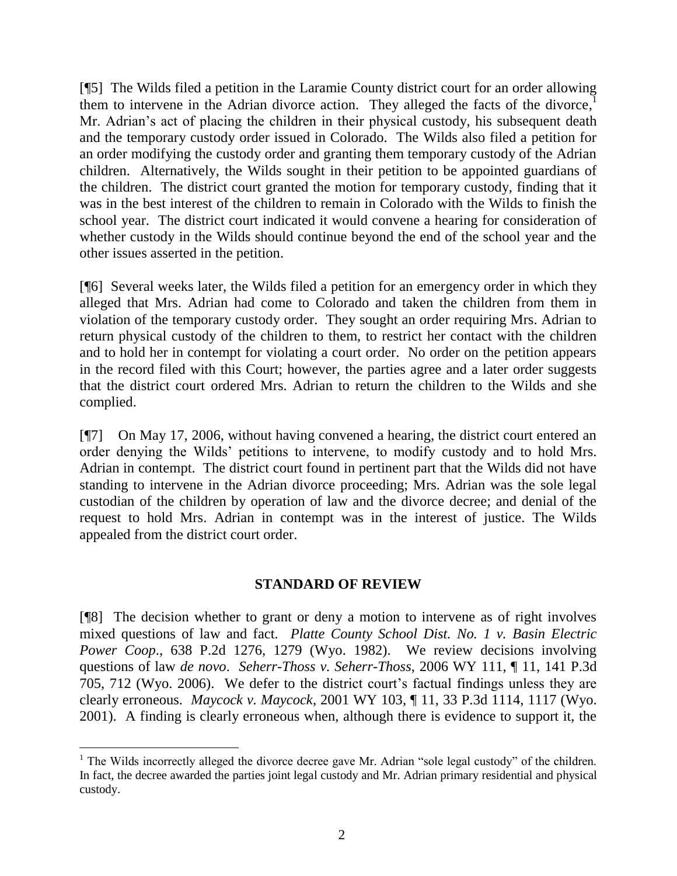[¶5] The Wilds filed a petition in the Laramie County district court for an order allowing them to intervene in the Adrian divorce action. They alleged the facts of the divorce, $<sup>1</sup>$ </sup> Mr. Adrian's act of placing the children in their physical custody, his subsequent death and the temporary custody order issued in Colorado. The Wilds also filed a petition for an order modifying the custody order and granting them temporary custody of the Adrian children. Alternatively, the Wilds sought in their petition to be appointed guardians of the children. The district court granted the motion for temporary custody, finding that it was in the best interest of the children to remain in Colorado with the Wilds to finish the school year. The district court indicated it would convene a hearing for consideration of whether custody in the Wilds should continue beyond the end of the school year and the other issues asserted in the petition.

[¶6] Several weeks later, the Wilds filed a petition for an emergency order in which they alleged that Mrs. Adrian had come to Colorado and taken the children from them in violation of the temporary custody order. They sought an order requiring Mrs. Adrian to return physical custody of the children to them, to restrict her contact with the children and to hold her in contempt for violating a court order. No order on the petition appears in the record filed with this Court; however, the parties agree and a later order suggests that the district court ordered Mrs. Adrian to return the children to the Wilds and she complied.

[¶7] On May 17, 2006, without having convened a hearing, the district court entered an order denying the Wilds' petitions to intervene, to modify custody and to hold Mrs. Adrian in contempt. The district court found in pertinent part that the Wilds did not have standing to intervene in the Adrian divorce proceeding; Mrs. Adrian was the sole legal custodian of the children by operation of law and the divorce decree; and denial of the request to hold Mrs. Adrian in contempt was in the interest of justice. The Wilds appealed from the district court order.

## **STANDARD OF REVIEW**

[¶8] The decision whether to grant or deny a motion to intervene as of right involves mixed questions of law and fact. *Platte County School Dist. No. 1 v. Basin Electric Power Coop*., 638 P.2d 1276, 1279 (Wyo. 1982). We review decisions involving questions of law *de novo*. *Seherr-Thoss v. Seherr-Thoss*, 2006 WY 111, ¶ 11, 141 P.3d 705, 712 (Wyo. 2006). We defer to the district court's factual findings unless they are clearly erroneous. *Maycock v. Maycock*, 2001 WY 103, ¶ 11, 33 P.3d 1114, 1117 (Wyo. 2001). A finding is clearly erroneous when, although there is evidence to support it, the

 $1$  The Wilds incorrectly alleged the divorce decree gave Mr. Adrian "sole legal custody" of the children. In fact, the decree awarded the parties joint legal custody and Mr. Adrian primary residential and physical custody.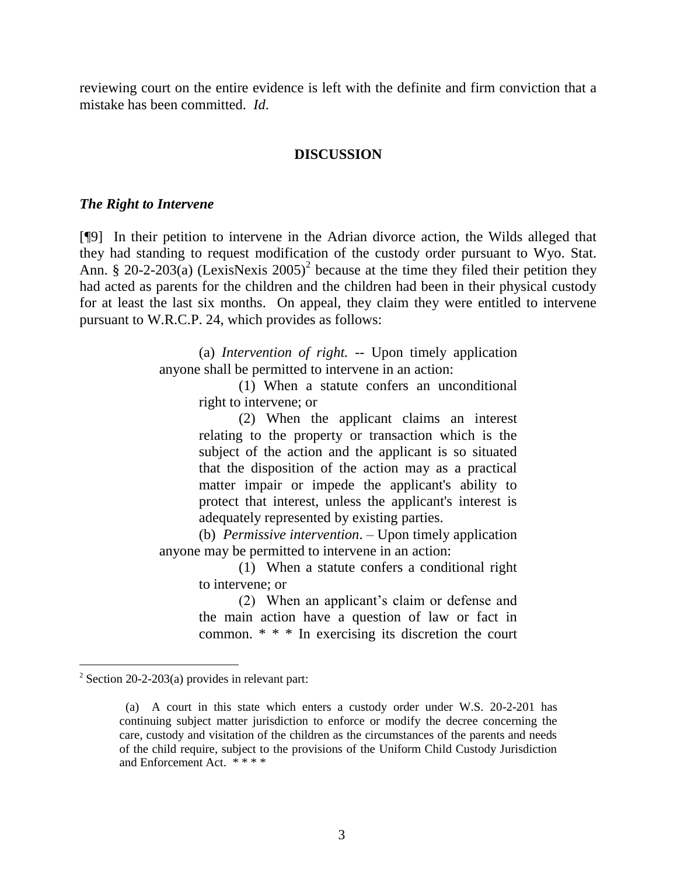reviewing court on the entire evidence is left with the definite and firm conviction that a mistake has been committed. *Id*.

#### **DISCUSSION**

#### *The Right to Intervene*

[¶9] In their petition to intervene in the Adrian divorce action, the Wilds alleged that they had standing to request modification of the custody order pursuant to Wyo. Stat. Ann. § 20-2-203(a) (LexisNexis 2005)<sup>2</sup> because at the time they filed their petition they had acted as parents for the children and the children had been in their physical custody for at least the last six months. On appeal, they claim they were entitled to intervene pursuant to W.R.C.P. 24, which provides as follows:

> (a) *Intervention of right. --* Upon timely application anyone shall be permitted to intervene in an action:

(1) When a statute confers an unconditional right to intervene; or

(2) When the applicant claims an interest relating to the property or transaction which is the subject of the action and the applicant is so situated that the disposition of the action may as a practical matter impair or impede the applicant's ability to protect that interest, unless the applicant's interest is adequately represented by existing parties.

(b) *Permissive intervention*. – Upon timely application anyone may be permitted to intervene in an action:

(1) When a statute confers a conditional right to intervene; or

(2) When an applicant's claim or defense and the main action have a question of law or fact in common. \* \* \* In exercising its discretion the court

l

 $2$  Section 20-2-203(a) provides in relevant part:

 <sup>(</sup>a) A court in this state which enters a custody order under W.S. 20-2-201 has continuing subject matter jurisdiction to enforce or modify the decree concerning the care, custody and visitation of the children as the circumstances of the parents and needs of the child require, subject to the provisions of the Uniform Child Custody Jurisdiction and Enforcement Act. \* \* \* \*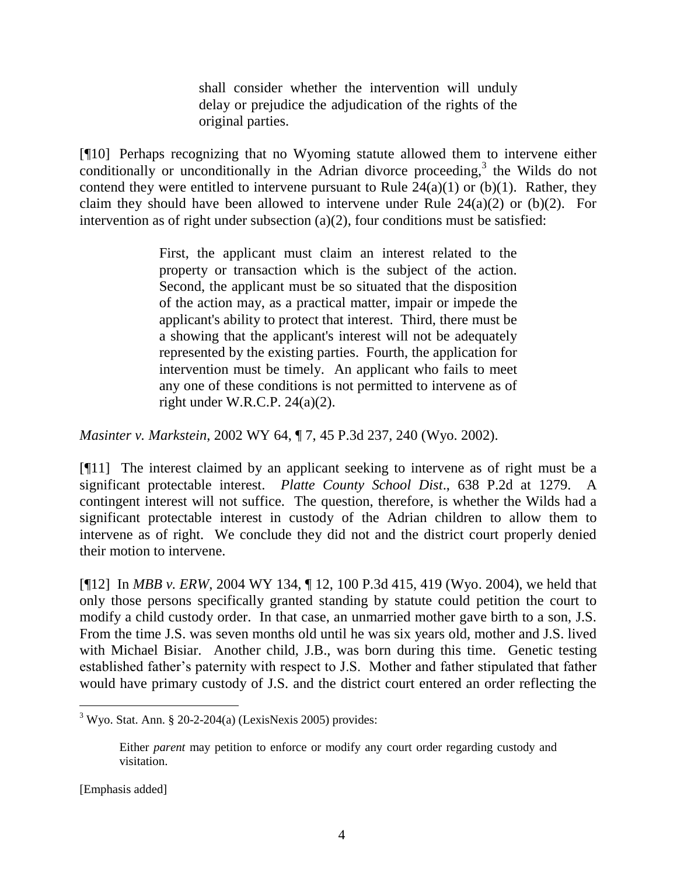shall consider whether the intervention will unduly delay or prejudice the adjudication of the rights of the original parties.

[¶10] Perhaps recognizing that no Wyoming statute allowed them to intervene either  $\alpha$  conditionally or unconditionally in the Adrian divorce proceeding,<sup>3</sup> the Wilds do not contend they were entitled to intervene pursuant to Rule  $24(a)(1)$  or (b)(1). Rather, they claim they should have been allowed to intervene under Rule  $24(a)(2)$  or (b)(2). For intervention as of right under subsection  $(a)(2)$ , four conditions must be satisfied:

> First, the applicant must claim an interest related to the property or transaction which is the subject of the action. Second, the applicant must be so situated that the disposition of the action may, as a practical matter, impair or impede the applicant's ability to protect that interest. Third, there must be a showing that the applicant's interest will not be adequately represented by the existing parties. Fourth, the application for intervention must be timely. An applicant who fails to meet any one of these conditions is not permitted to intervene as of right under W.R.C.P. 24(a)(2).

*Masinter v. Markstein*, 2002 WY 64, ¶ 7, 45 P.3d 237, 240 (Wyo. 2002).

[¶11] The interest claimed by an applicant seeking to intervene as of right must be a significant protectable interest. *Platte County School Dist*., 638 P.2d at 1279. A contingent interest will not suffice. The question, therefore, is whether the Wilds had a significant protectable interest in custody of the Adrian children to allow them to intervene as of right. We conclude they did not and the district court properly denied their motion to intervene.

[¶12] In *MBB v. ERW*, 2004 WY 134, ¶ 12, 100 P.3d 415, 419 (Wyo. 2004), we held that only those persons specifically granted standing by statute could petition the court to modify a child custody order. In that case, an unmarried mother gave birth to a son, J.S. From the time J.S. was seven months old until he was six years old, mother and J.S. lived with Michael Bisiar. Another child, J.B., was born during this time. Genetic testing established father's paternity with respect to J.S. Mother and father stipulated that father would have primary custody of J.S. and the district court entered an order reflecting the

 $\overline{a}$ 

 $3$  Wyo. Stat. Ann. § 20-2-204(a) (LexisNexis 2005) provides:

Either *parent* may petition to enforce or modify any court order regarding custody and visitation.

<sup>[</sup>Emphasis added]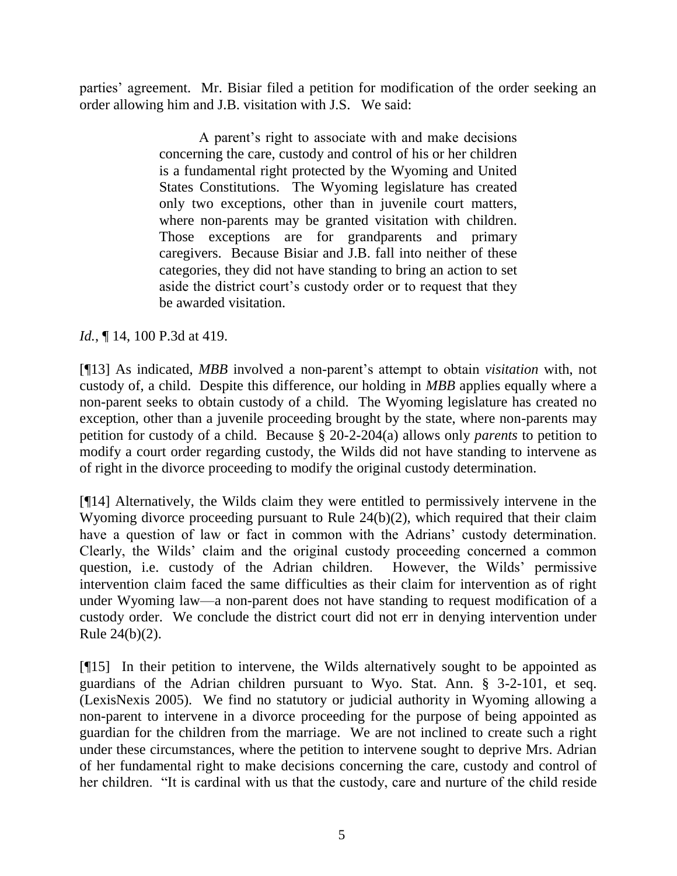parties' agreement. Mr. Bisiar filed a petition for modification of the order seeking an order allowing him and J.B. visitation with J.S. We said:

> A parent's right to associate with and make decisions concerning the care, custody and control of his or her children is a fundamental right protected by the Wyoming and United States Constitutions. The Wyoming legislature has created only two exceptions, other than in juvenile court matters, where non-parents may be granted visitation with children. Those exceptions are for grandparents and primary caregivers. Because Bisiar and J.B. fall into neither of these categories, they did not have standing to bring an action to set aside the district court's custody order or to request that they be awarded visitation.

## *Id.*, **[14, 100 P.3d at 419.**

[¶13] As indicated, *MBB* involved a non-parent's attempt to obtain *visitation* with, not custody of, a child. Despite this difference, our holding in *MBB* applies equally where a non-parent seeks to obtain custody of a child. The Wyoming legislature has created no exception, other than a juvenile proceeding brought by the state, where non-parents may petition for custody of a child. Because § 20-2-204(a) allows only *parents* to petition to modify a court order regarding custody, the Wilds did not have standing to intervene as of right in the divorce proceeding to modify the original custody determination.

[¶14] Alternatively, the Wilds claim they were entitled to permissively intervene in the Wyoming divorce proceeding pursuant to Rule 24(b)(2), which required that their claim have a question of law or fact in common with the Adrians' custody determination. Clearly, the Wilds' claim and the original custody proceeding concerned a common question, i.e. custody of the Adrian children. However, the Wilds' permissive intervention claim faced the same difficulties as their claim for intervention as of right under Wyoming law—a non-parent does not have standing to request modification of a custody order. We conclude the district court did not err in denying intervention under Rule 24(b)(2).

[¶15] In their petition to intervene, the Wilds alternatively sought to be appointed as guardians of the Adrian children pursuant to Wyo. Stat. Ann. § 3-2-101, et seq. (LexisNexis 2005). We find no statutory or judicial authority in Wyoming allowing a non-parent to intervene in a divorce proceeding for the purpose of being appointed as guardian for the children from the marriage. We are not inclined to create such a right under these circumstances, where the petition to intervene sought to deprive Mrs. Adrian of her fundamental right to make decisions concerning the care, custody and control of her children. "It is cardinal with us that the custody, care and nurture of the child reside